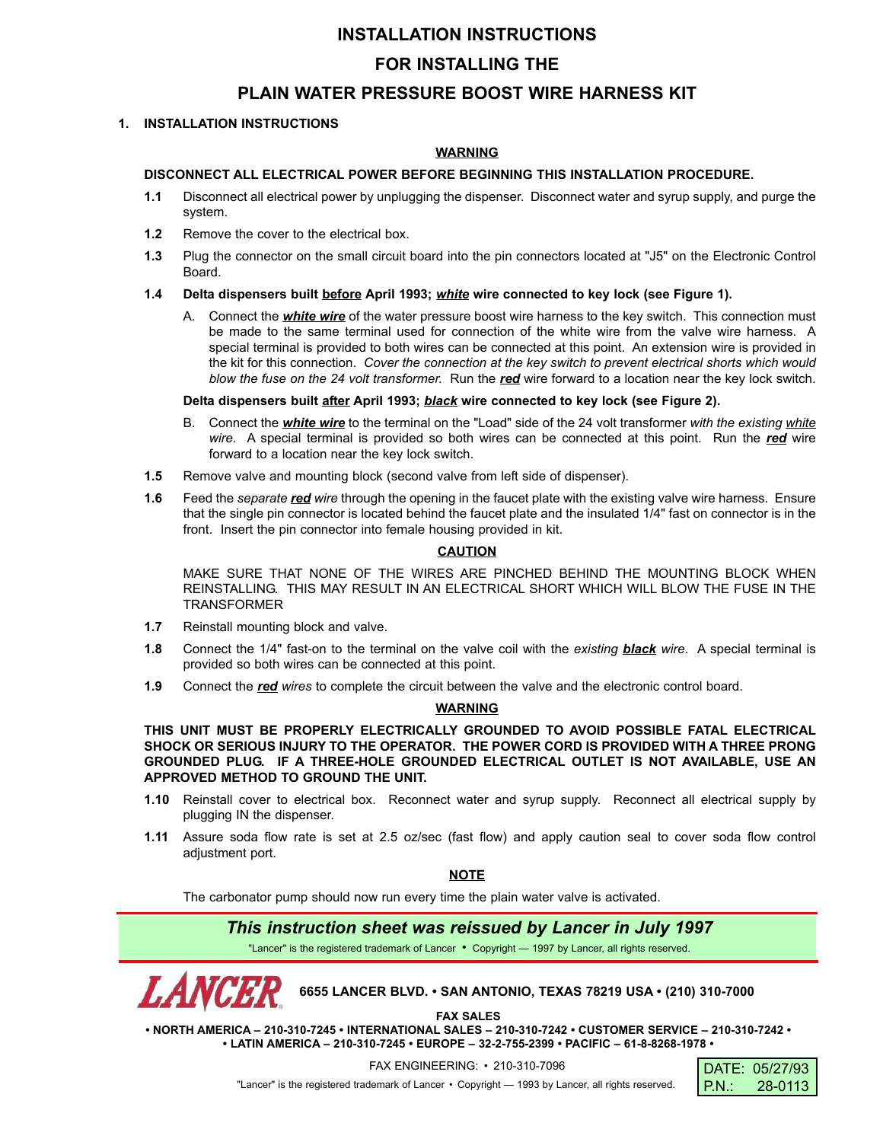# **INSTALLATION INSTRUCTIONS**

# **FOR INSTALLING THE**

### **PLAIN WATER PRESSURE BOOST WIRE HARNESS KIT**

#### **1. INSTALLATION INSTRUCTIONS**

#### **WARNING**

#### **DISCONNECT ALL ELECTRICAL POWER BEFORE BEGINNING THIS INSTALLATION PROCEDURE.**

- **1.1** Disconnect all electrical power by unplugging the dispenser. Disconnect water and syrup supply, and purge the system.
- **1.2** Remove the cover to the electrical box.
- **1.3** Plug the connector on the small circuit board into the pin connectors located at "J5" on the Electronic Control Board.
- **1.4 Delta dispensers built before April 1993;** *white* **wire connected to key lock (see Figure 1).**
	- A. Connect the *white wire* of the water pressure boost wire harness to the key switch. This connection must be made to the same terminal used for connection of the white wire from the valve wire harness. A special terminal is provided to both wires can be connected at this point. An extension wire is provided in the kit for this connection. *Cover the connection at the key switch to prevent electrical shorts which would blow the fuse on the 24 volt transformer.* Run the *red* wire forward to a location near the key lock switch.

#### **Delta dispensers built after April 1993;** *black* **wire connected to key lock (see Figure 2).**

- B. Connect the *white wire* to the terminal on the "Load" side of the 24 volt transformer *with the existing white wire*. A special terminal is provided so both wires can be connected at this point. Run the *red* wire forward to a location near the key lock switch.
- **1.5** Remove valve and mounting block (second valve from left side of dispenser).
- **1.6** Feed the *separate red wire* through the opening in the faucet plate with the existing valve wire harness. Ensure that the single pin connector is located behind the faucet plate and the insulated 1/4" fast on connector is in the front. Insert the pin connector into female housing provided in kit.

### **CAUTION**

MAKE SURE THAT NONE OF THE WIRES ARE PINCHED BEHIND THE MOUNTING BLOCK WHEN REINSTALLING. THIS MAY RESULT IN AN ELECTRICAL SHORT WHICH WILL BLOW THE FUSE IN THE TRANSFORMER

- **1.7** Reinstall mounting block and valve.
- **1.8** Connect the 1/4" fast-on to the terminal on the valve coil with the *existing black wire*. A special terminal is provided so both wires can be connected at this point.
- **1.9** Connect the *red wires* to complete the circuit between the valve and the electronic control board.

#### **WARNING**

**THIS UNIT MUST BE PROPERLY ELECTRICALLY GROUNDED TO AVOID POSSIBLE FATAL ELECTRICAL SHOCK OR SERIOUS INJURY TO THE OPERATOR. THE POWER CORD IS PROVIDED WITH A THREE PRONG GROUNDED PLUG. IF A THREE-HOLE GROUNDED ELECTRICAL OUTLET IS NOT AVAILABLE, USE AN APPROVED METHOD TO GROUND THE UNIT.**

- **1.10** Reinstall cover to electrical box. Reconnect water and syrup supply. Reconnect all electrical supply by plugging IN the dispenser.
- **1.11** Assure soda flow rate is set at 2.5 oz/sec (fast flow) and apply caution seal to cover soda flow control adjustment port.

**NOTE**

The carbonator pump should now run every time the plain water valve is activated.

### *This instruction sheet was reissued by Lancer in July 1997*

"Lancer" is the registered trademark of Lancer • Copyright — 1997 by Lancer, all rights reserved.

**6655 LANCER BLVD. • SAN ANTONIO, TEXAS 78219 USA • (210) 310-7000**

**FAX SALES**

**• NORTH AMERICA – 210-310-7245 • INTERNATIONAL SALES – 210-310-7242 • CUSTOMER SERVICE – 210-310-7242 • • LATIN AMERICA – 210-310-7245 • EUROPE – 32-2-755-2399 • PACIFIC – 61-8-8268-1978 •**

FAX ENGINEERING: • 210-310-7096

"Lancer" is the registered trademark of Lancer • Copyright — 1993 by Lancer, all rights reserved.